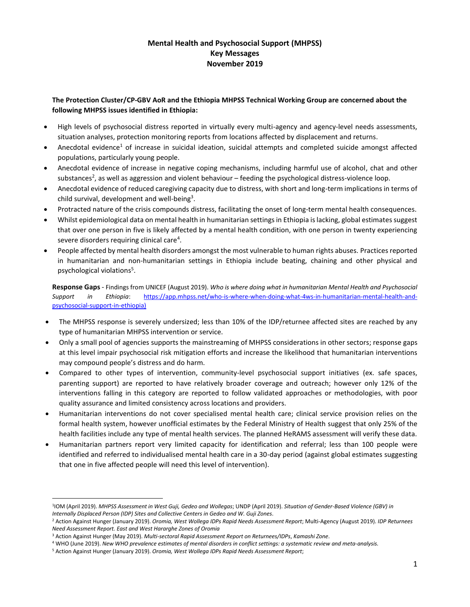# **Mental Health and Psychosocial Support (MHPSS) Key Messages November 2019**

## **The Protection Cluster/CP-GBV AoR and the Ethiopia MHPSS Technical Working Group are concerned about the following MHPSS issues identified in Ethiopia:**

- High levels of psychosocial distress reported in virtually every multi-agency and agency-level needs assessments, situation analyses, protection monitoring reports from locations affected by displacement and returns.
- Anecdotal evidence<sup>1</sup> of increase in suicidal ideation, suicidal attempts and completed suicide amongst affected populations, particularly young people.
- Anecdotal evidence of increase in negative coping mechanisms, including harmful use of alcohol, chat and other substances<sup>2</sup>, as well as aggression and violent behaviour – feeding the psychological distress-violence loop.
- Anecdotal evidence of reduced caregiving capacity due to distress, with short and long-term implications in terms of child survival, development and well-being<sup>3</sup>.
- Protracted nature of the crisis compounds distress, facilitating the onset of long-term mental health consequences.
- Whilst epidemiological data on mental health in humanitarian settings in Ethiopia is lacking, global estimates suggest that over one person in five is likely affected by a mental health condition, with one person in twenty experiencing severe disorders requiring clinical care<sup>4</sup>.
- People affected by mental health disorders amongst the most vulnerable to human rights abuses. Practices reported in humanitarian and non-humanitarian settings in Ethiopia include beating, chaining and other physical and psychological violations<sup>5</sup>.

**Response Gaps** - Findings from UNICEF (August 2019). *Who is where doing what in humanitarian Mental Health and Psychosocial Support in Ethiopia*: [https://app.mhpss.net/who-is-where-when-doing-what-4ws-in-humanitarian-mental-health-and](https://app.mhpss.net/who-is-where-when-doing-what-4ws-in-humanitarian-mental-health-and-psychosocial-support-in-ethiopia)[psychosocial-support-in-ethiopia\)](https://app.mhpss.net/who-is-where-when-doing-what-4ws-in-humanitarian-mental-health-and-psychosocial-support-in-ethiopia)

- The MHPSS response is severely undersized; less than 10% of the IDP/returnee affected sites are reached by any type of humanitarian MHPSS intervention or service.
- Only a small pool of agencies supports the mainstreaming of MHPSS considerations in other sectors; response gaps at this level impair psychosocial risk mitigation efforts and increase the likelihood that humanitarian interventions may compound people's distress and do harm.
- Compared to other types of intervention, community-level psychosocial support initiatives (ex. safe spaces, parenting support) are reported to have relatively broader coverage and outreach; however only 12% of the interventions falling in this category are reported to follow validated approaches or methodologies, with poor quality assurance and limited consistency across locations and providers.
- Humanitarian interventions do not cover specialised mental health care; clinical service provision relies on the formal health system, however unofficial estimates by the Federal Ministry of Health suggest that only 25% of the health facilities include any type of mental health services. The planned HeRAMS assessment will verify these data.
- Humanitarian partners report very limited capacity for identification and referral; less than 100 people were identified and referred to individualised mental health care in a 30-day period (against global estimates suggesting that one in five affected people will need this level of intervention).

 $\overline{a}$ 

<sup>1</sup> IOM (April 2019). *MHPSS Assessment in West Guji, Gedeo and Wollegas*; UNDP (April 2019). *Situation of Gender-Based Violence (GBV) in Internally Displaced Person (IDP) Sites and Collective Centers in Gedeo and W. Guji Zones*.

<sup>2</sup> Action Against Hunger (January 2019). *Oromia, West Wollega IDPs Rapid Needs Assessment Report*; Multi-Agency (August 2019). *IDP Returnees Need Assessment Report. East and West Hararghe Zones of Oromia*

<sup>3</sup> Action Against Hunger (May 2019). *Multi-sectoral Rapid Assessment Report on Returnees/IDPs*, *Kamashi Zone*.

<sup>4</sup> WHO (June 2019). *New WHO prevalence estimates of mental disorders in conflict settings: a systematic review and meta-analysis.*

<sup>5</sup> Action Against Hunger (January 2019). *Oromia, West Wollega IDPs Rapid Needs Assessment Report*;